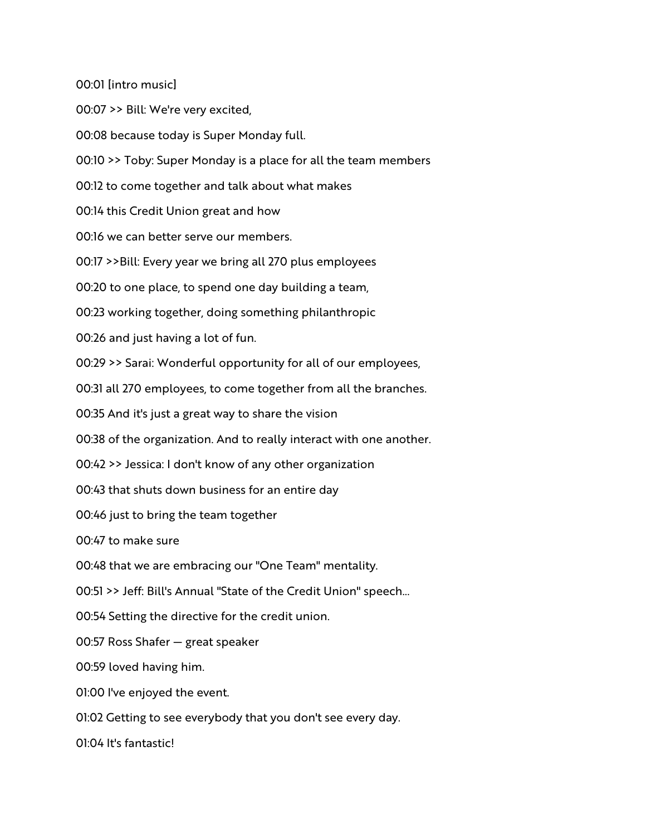00:01 [intro music]

00:07 >> Bill: We're very excited,

00:08 because today is Super Monday full.

00:10 >> Toby: Super Monday is a place for all the team members

00:12 to come together and talk about what makes

00:14 this Credit Union great and how

00:16 we can better serve our members.

00:17 >>Bill: Every year we bring all 270 plus employees

00:20 to one place, to spend one day building a team,

00:23 working together, doing something philanthropic

00:26 and just having a lot of fun.

00:29 >> Sarai: Wonderful opportunity for all of our employees,

00:31 all 270 employees, to come together from all the branches.

00:35 And it's just a great way to share the vision

00:38 of the organization. And to really interact with one another.

00:42 >> Jessica: I don't know of any other organization

00:43 that shuts down business for an entire day

00:46 just to bring the team together

00:47 to make sure

00:48 that we are embracing our "One Team" mentality.

00:51 >> Jeff: Bill's Annual "State of the Credit Union" speech...

00:54 Setting the directive for the credit union.

00:57 Ross Shafer — great speaker

00:59 loved having him.

01:00 I've enjoyed the event.

01:02 Getting to see everybody that you don't see every day.

01:04 It's fantastic!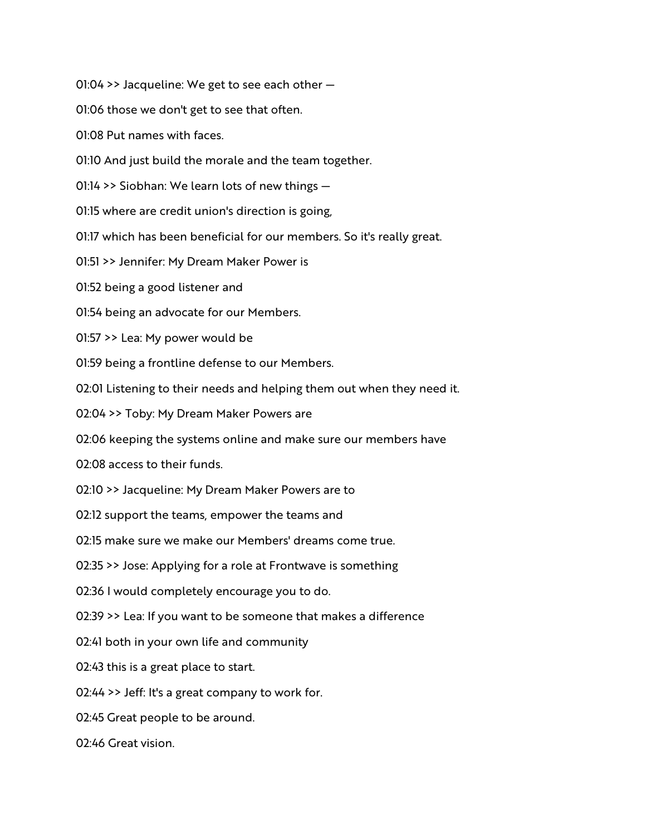01:04 >> Jacqueline: We get to see each other —

01:06 those we don't get to see that often.

01:08 Put names with faces.

01:10 And just build the morale and the team together.

01:14 >> Siobhan: We learn lots of new things —

01:15 where are credit union's direction is going,

01:17 which has been beneficial for our members. So it's really great.

01:51 >> Jennifer: My Dream Maker Power is

01:52 being a good listener and

01:54 being an advocate for our Members.

01:57 >> Lea: My power would be

01:59 being a frontline defense to our Members.

02:01 Listening to their needs and helping them out when they need it.

02:04 >> Toby: My Dream Maker Powers are

02:06 keeping the systems online and make sure our members have

02:08 access to their funds.

02:10 >> Jacqueline: My Dream Maker Powers are to

02:12 support the teams, empower the teams and

02:15 make sure we make our Members' dreams come true.

02:35 >> Jose: Applying for a role at Frontwave is something

02:36 I would completely encourage you to do.

02:39 >> Lea: If you want to be someone that makes a difference

02:41 both in your own life and community

02:43 this is a great place to start.

02:44 >> Jeff: It's a great company to work for.

02:45 Great people to be around.

02:46 Great vision.